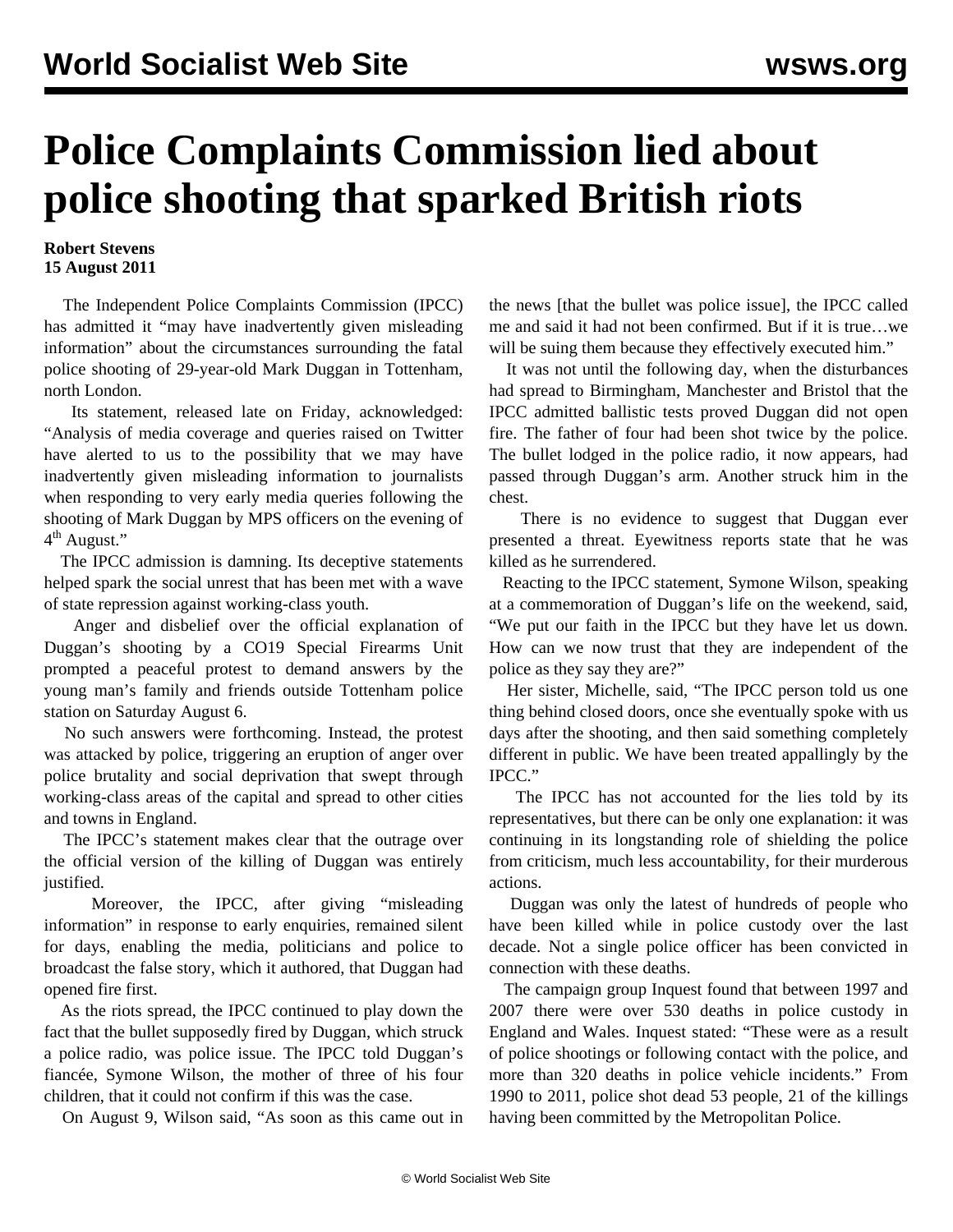## **Police Complaints Commission lied about police shooting that sparked British riots**

## **Robert Stevens 15 August 2011**

 The Independent Police Complaints Commission (IPCC) has admitted it "may have inadvertently given misleading information" about the circumstances surrounding the fatal police shooting of 29-year-old Mark Duggan in Tottenham, north London.

 Its statement, released late on Friday, acknowledged: "Analysis of media coverage and queries raised on Twitter have alerted to us to the possibility that we may have inadvertently given misleading information to journalists when responding to very early media queries following the shooting of Mark Duggan by MPS officers on the evening of 4<sup>th</sup> August."

 The IPCC admission is damning. Its deceptive statements helped spark the social unrest that has been met with a wave of state repression against working-class youth.

 Anger and disbelief over the official explanation of Duggan's shooting by a CO19 Special Firearms Unit prompted a peaceful protest to demand answers by the young man's family and friends outside Tottenham police station on Saturday August 6.

 No such answers were forthcoming. Instead, the protest was attacked by police, triggering an eruption of anger over police brutality and social deprivation that swept through working-class areas of the capital and spread to other cities and towns in England.

 The IPCC's statement makes clear that the outrage over the official version of the killing of Duggan was entirely justified.

 Moreover, the IPCC, after giving "misleading information" in response to early enquiries, remained silent for days, enabling the media, politicians and police to broadcast the false story, which it authored, that Duggan had opened fire first.

 As the riots spread, the IPCC continued to play down the fact that the bullet supposedly fired by Duggan, which struck a police radio, was police issue. The IPCC told Duggan's fiancée, Symone Wilson, the mother of three of his four children, that it could not confirm if this was the case.

On August 9, Wilson said, "As soon as this came out in

the news [that the bullet was police issue], the IPCC called me and said it had not been confirmed. But if it is true…we will be suing them because they effectively executed him."

 It was not until the following day, when the disturbances had spread to Birmingham, Manchester and Bristol that the IPCC admitted ballistic tests proved Duggan did not open fire. The father of four had been shot twice by the police. The bullet lodged in the police radio, it now appears, had passed through Duggan's arm. Another struck him in the chest.

 There is no evidence to suggest that Duggan ever presented a threat. Eyewitness reports state that he was killed as he surrendered.

 Reacting to the IPCC statement, Symone Wilson, speaking at a commemoration of Duggan's life on the weekend, said, "We put our faith in the IPCC but they have let us down. How can we now trust that they are independent of the police as they say they are?"

 Her sister, Michelle, said, "The IPCC person told us one thing behind closed doors, once she eventually spoke with us days after the shooting, and then said something completely different in public. We have been treated appallingly by the IPCC."

 The IPCC has not accounted for the lies told by its representatives, but there can be only one explanation: it was continuing in its longstanding role of shielding the police from criticism, much less accountability, for their murderous actions.

 Duggan was only the latest of hundreds of people who have been killed while in police custody over the last decade. Not a single police officer has been convicted in connection with these deaths.

 The campaign group Inquest found that between 1997 and 2007 there were over 530 deaths in police custody in England and Wales. Inquest stated: "These were as a result of police shootings or following contact with the police, and more than 320 deaths in police vehicle incidents." From 1990 to 2011, police shot dead 53 people, 21 of the killings having been committed by the Metropolitan Police.